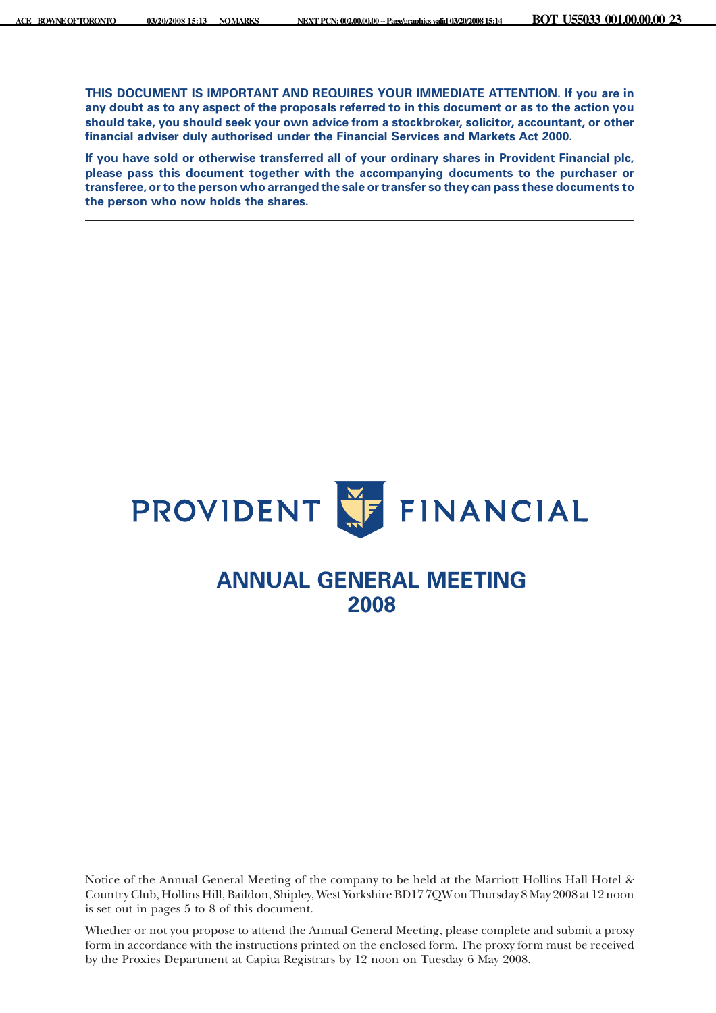**THIS DOCUMENT IS IMPORTANT AND REQUIRES YOUR IMMEDIATE ATTENTION. If you are in any doubt as to any aspect of the proposals referred to in this document or as to the action you should take, you should seek your own advice from a stockbroker, solicitor, accountant, or other financial adviser duly authorised under the Financial Services and Markets Act 2000.**

**If you have sold or otherwise transferred all of your ordinary shares in Provident Financial plc, please pass this document together with the accompanying documents to the purchaser or transferee, or to the person who arranged the sale or transfer so they can pass these documents to the person who now holds the shares.**



# **ANNUAL GENERAL MEETING 2008**

Notice of the Annual General Meeting of the company to be held at the Marriott Hollins Hall Hotel & Country Club, Hollins Hill, Baildon, Shipley, West Yorkshire BD17 7QWon Thursday 8 May 2008 at 12 noon is set out in pages 5 to 8 of this document.

Whether or not you propose to attend the Annual General Meeting, please complete and submit a proxy form in accordance with the instructions printed on the enclosed form. The proxy form must be received by the Proxies Department at Capita Registrars by 12 noon on Tuesday 6 May 2008.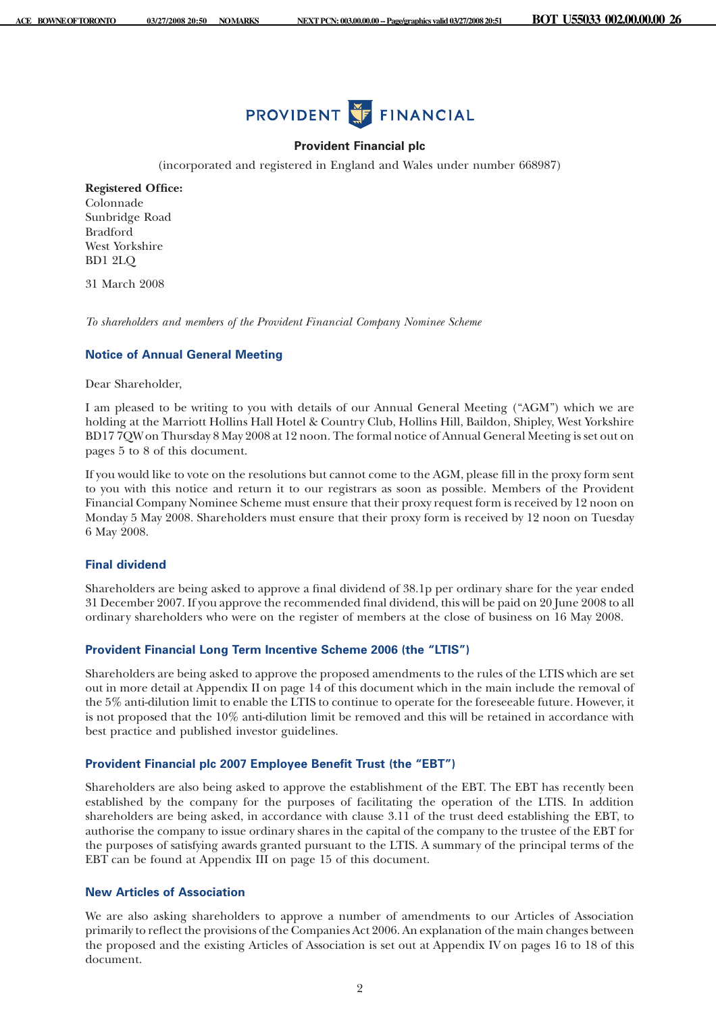

## **Provident Financial plc**

(incorporated and registered in England and Wales under number 668987)

**Registered Office:** Colonnade Sunbridge Road Bradford West Yorkshire BD1 2LQ

31 March 2008

*To shareholders and members of the Provident Financial Company Nominee Scheme*

#### **Notice of Annual General Meeting**

Dear Shareholder,

I am pleased to be writing to you with details of our Annual General Meeting ("AGM") which we are holding at the Marriott Hollins Hall Hotel & Country Club, Hollins Hill, Baildon, Shipley, West Yorkshire BD17 7QW on Thursday 8 May 2008 at 12 noon. The formal notice of Annual General Meeting is set out on pages 5 to 8 of this document.

If you would like to vote on the resolutions but cannot come to the AGM, please fill in the proxy form sent to you with this notice and return it to our registrars as soon as possible. Members of the Provident Financial Company Nominee Scheme must ensure that their proxy request form is received by 12 noon on Monday 5 May 2008. Shareholders must ensure that their proxy form is received by 12 noon on Tuesday 6 May 2008.

# **Final dividend**

Shareholders are being asked to approve a final dividend of 38.1p per ordinary share for the year ended 31 December 2007. If you approve the recommended final dividend, this will be paid on 20 June 2008 to all ordinary shareholders who were on the register of members at the close of business on 16 May 2008.

# **Provident Financial Long Term Incentive Scheme 2006 (the "LTIS")**

Shareholders are being asked to approve the proposed amendments to the rules of the LTIS which are set out in more detail at Appendix II on page 14 of this document which in the main include the removal of the 5% anti-dilution limit to enable the LTIS to continue to operate for the foreseeable future. However, it is not proposed that the 10% anti-dilution limit be removed and this will be retained in accordance with best practice and published investor guidelines.

## **Provident Financial plc 2007 Employee Benefit Trust (the "EBT")**

Shareholders are also being asked to approve the establishment of the EBT. The EBT has recently been established by the company for the purposes of facilitating the operation of the LTIS. In addition shareholders are being asked, in accordance with clause 3.11 of the trust deed establishing the EBT, to authorise the company to issue ordinary shares in the capital of the company to the trustee of the EBT for the purposes of satisfying awards granted pursuant to the LTIS. A summary of the principal terms of the EBT can be found at Appendix III on page 15 of this document.

# **New Articles of Association**

We are also asking shareholders to approve a number of amendments to our Articles of Association primarily to reflect the provisions of the Companies Act 2006. An explanation of the main changes between the proposed and the existing Articles of Association is set out at Appendix IV on pages 16 to 18 of this document.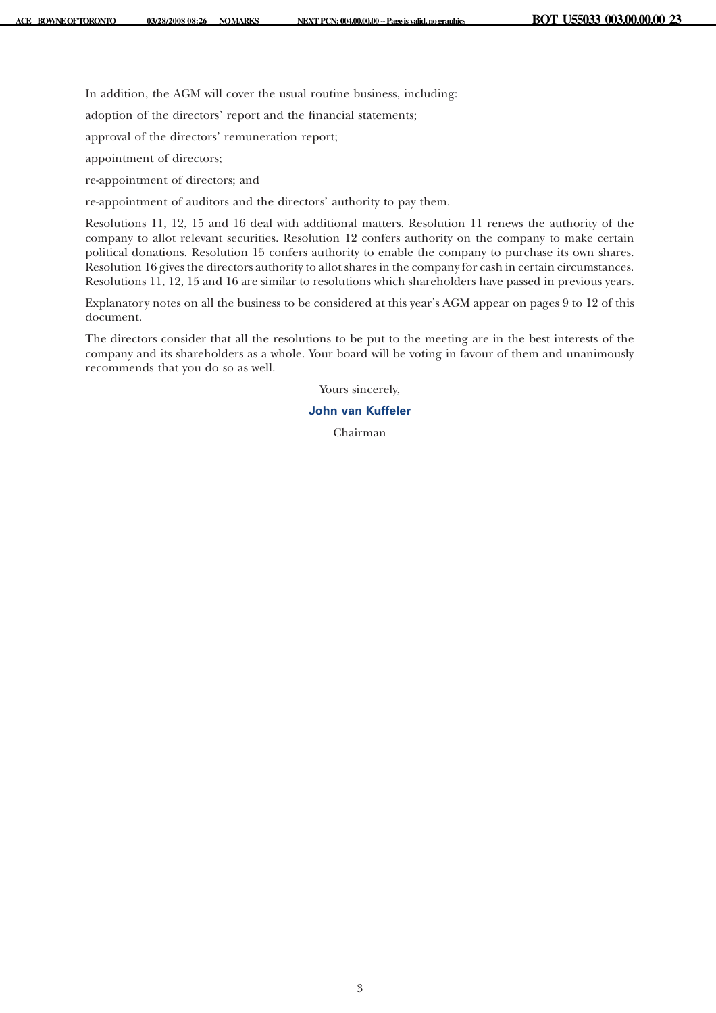In addition, the AGM will cover the usual routine business, including:

adoption of the directors' report and the financial statements;

approval of the directors' remuneration report;

appointment of directors;

re-appointment of directors; and

re-appointment of auditors and the directors' authority to pay them.

Resolutions 11, 12, 15 and 16 deal with additional matters. Resolution 11 renews the authority of the company to allot relevant securities. Resolution 12 confers authority on the company to make certain political donations. Resolution 15 confers authority to enable the company to purchase its own shares. Resolution 16 gives the directors authority to allot shares in the company for cash in certain circumstances. Resolutions 11, 12, 15 and 16 are similar to resolutions which shareholders have passed in previous years.

Explanatory notes on all the business to be considered at this year's AGM appear on pages 9 to 12 of this document.

The directors consider that all the resolutions to be put to the meeting are in the best interests of the company and its shareholders as a whole. Your board will be voting in favour of them and unanimously recommends that you do so as well.

Yours sincerely,

# **John van Kuffeler**

Chairman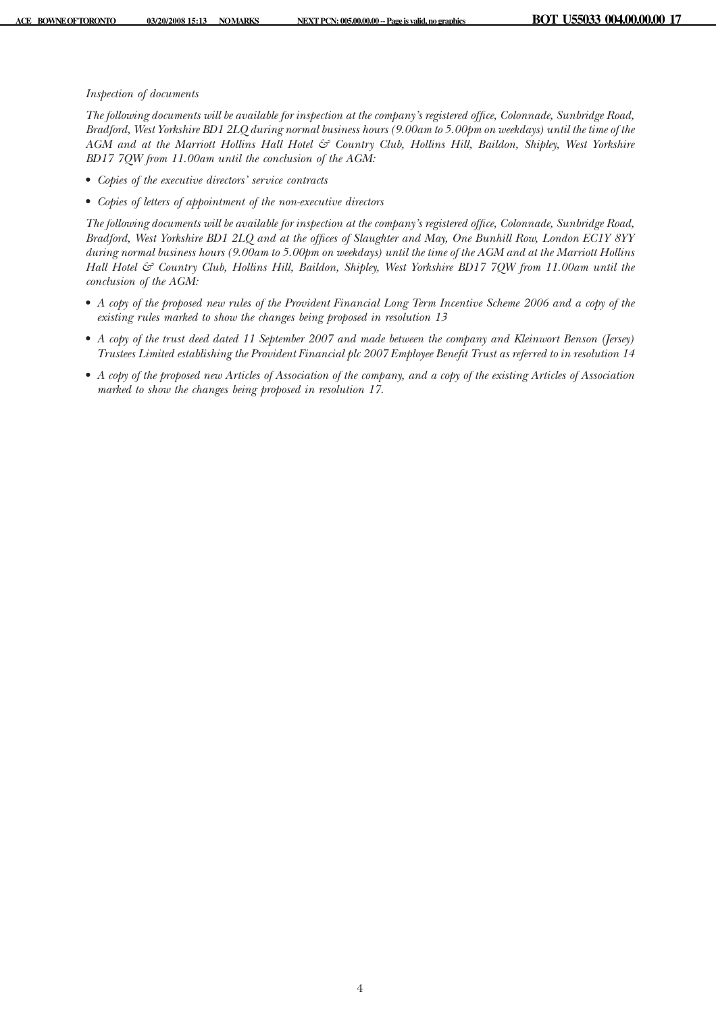## *Inspection of documents*

*The following documents will be available for inspection at the company's registered office, Colonnade, Sunbridge Road, Bradford, West Yorkshire BD1 2LQ during normal business hours (9.00am to 5.00pm on weekdays) until the time of the AGM and at the Marriott Hollins Hall Hotel & Country Club, Hollins Hill, Baildon, Shipley, West Yorkshire BD17 7QW from 11.00am until the conclusion of the AGM:*

- *Copies of the executive directors' service contracts*
- *Copies of letters of appointment of the non-executive directors*

*The following documents will be available for inspection at the company's registered office, Colonnade, Sunbridge Road, Bradford, West Yorkshire BD1 2LQ and at the offices of Slaughter and May, One Bunhill Row, London EC1Y 8YY during normal business hours (9.00am to 5.00pm on weekdays) until the time of the AGM and at the Marriott Hollins Hall Hotel & Country Club, Hollins Hill, Baildon, Shipley, West Yorkshire BD17 7QW from 11.00am until the conclusion of the AGM:*

- *A copy of the proposed new rules of the Provident Financial Long Term Incentive Scheme 2006 and a copy of the existing rules marked to show the changes being proposed in resolution 13*
- *A copy of the trust deed dated 11 September 2007 and made between the company and Kleinwort Benson (Jersey) Trustees Limited establishing the Provident Financial plc 2007 Employee Benefit Trust as referred to in resolution 14*
- *A copy of the proposed new Articles of Association of the company, and a copy of the existing Articles of Association marked to show the changes being proposed in resolution 17.*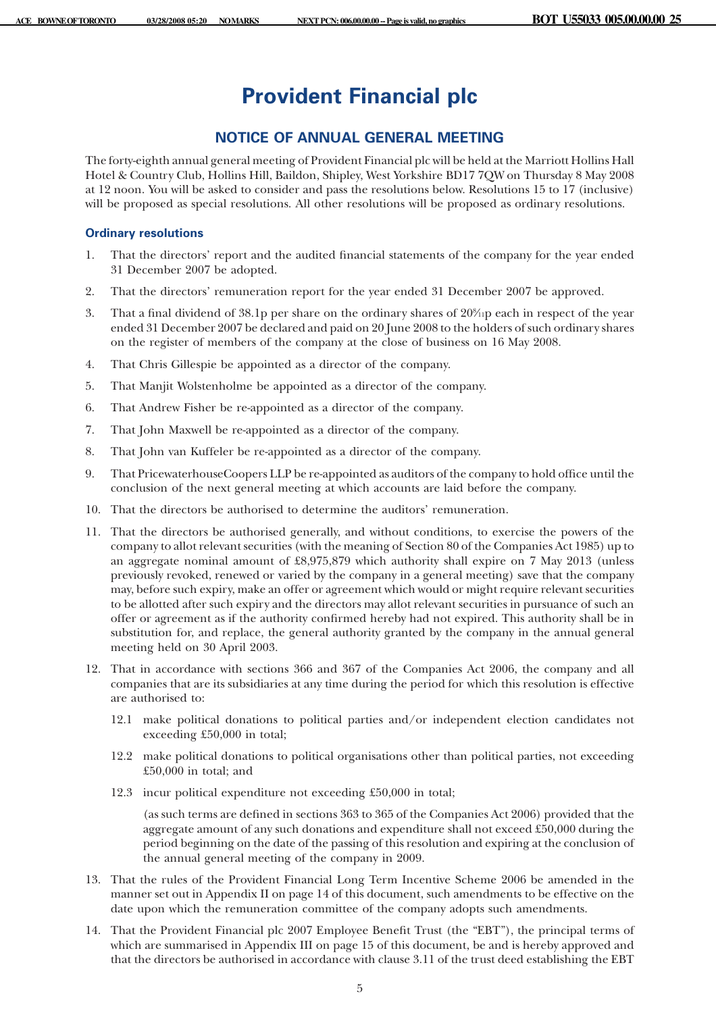# **Provident Financial plc**

# **NOTICE OF ANNUAL GENERAL MEETING**

The forty-eighth annual general meeting of Provident Financial plc will be held at the Marriott Hollins Hall Hotel & Country Club, Hollins Hill, Baildon, Shipley, West Yorkshire BD17 7QW on Thursday 8 May 2008 at 12 noon. You will be asked to consider and pass the resolutions below. Resolutions 15 to 17 (inclusive) will be proposed as special resolutions. All other resolutions will be proposed as ordinary resolutions.

# **Ordinary resolutions**

- 1. That the directors' report and the audited financial statements of the company for the year ended 31 December 2007 be adopted.
- 2. That the directors' remuneration report for the year ended 31 December 2007 be approved.
- 3. That a final dividend of 38.1p per share on the ordinary shares of 208 ⁄11p each in respect of the year ended 31 December 2007 be declared and paid on 20 June 2008 to the holders of such ordinary shares on the register of members of the company at the close of business on 16 May 2008.
- 4. That Chris Gillespie be appointed as a director of the company.
- 5. That Manjit Wolstenholme be appointed as a director of the company.
- 6. That Andrew Fisher be re-appointed as a director of the company.
- 7. That John Maxwell be re-appointed as a director of the company.
- 8. That John van Kuffeler be re-appointed as a director of the company.
- 9. That PricewaterhouseCoopers LLP be re-appointed as auditors of the company to hold office until the conclusion of the next general meeting at which accounts are laid before the company.
- 10. That the directors be authorised to determine the auditors' remuneration.
- 11. That the directors be authorised generally, and without conditions, to exercise the powers of the company to allot relevant securities (with the meaning of Section 80 of the Companies Act 1985) up to an aggregate nominal amount of £8,975,879 which authority shall expire on 7 May 2013 (unless previously revoked, renewed or varied by the company in a general meeting) save that the company may, before such expiry, make an offer or agreement which would or might require relevant securities to be allotted after such expiry and the directors may allot relevant securities in pursuance of such an offer or agreement as if the authority confirmed hereby had not expired. This authority shall be in substitution for, and replace, the general authority granted by the company in the annual general meeting held on 30 April 2003.
- 12. That in accordance with sections 366 and 367 of the Companies Act 2006, the company and all companies that are its subsidiaries at any time during the period for which this resolution is effective are authorised to:
	- 12.1 make political donations to political parties and/or independent election candidates not exceeding £50,000 in total;
	- 12.2 make political donations to political organisations other than political parties, not exceeding £50,000 in total; and
	- 12.3 incur political expenditure not exceeding £50,000 in total;

(as such terms are defined in sections 363 to 365 of the Companies Act 2006) provided that the aggregate amount of any such donations and expenditure shall not exceed £50,000 during the period beginning on the date of the passing of this resolution and expiring at the conclusion of the annual general meeting of the company in 2009.

- 13. That the rules of the Provident Financial Long Term Incentive Scheme 2006 be amended in the manner set out in Appendix II on page 14 of this document, such amendments to be effective on the date upon which the remuneration committee of the company adopts such amendments.
- 14. That the Provident Financial plc 2007 Employee Benefit Trust (the "EBT"), the principal terms of which are summarised in Appendix III on page 15 of this document, be and is hereby approved and that the directors be authorised in accordance with clause 3.11 of the trust deed establishing the EBT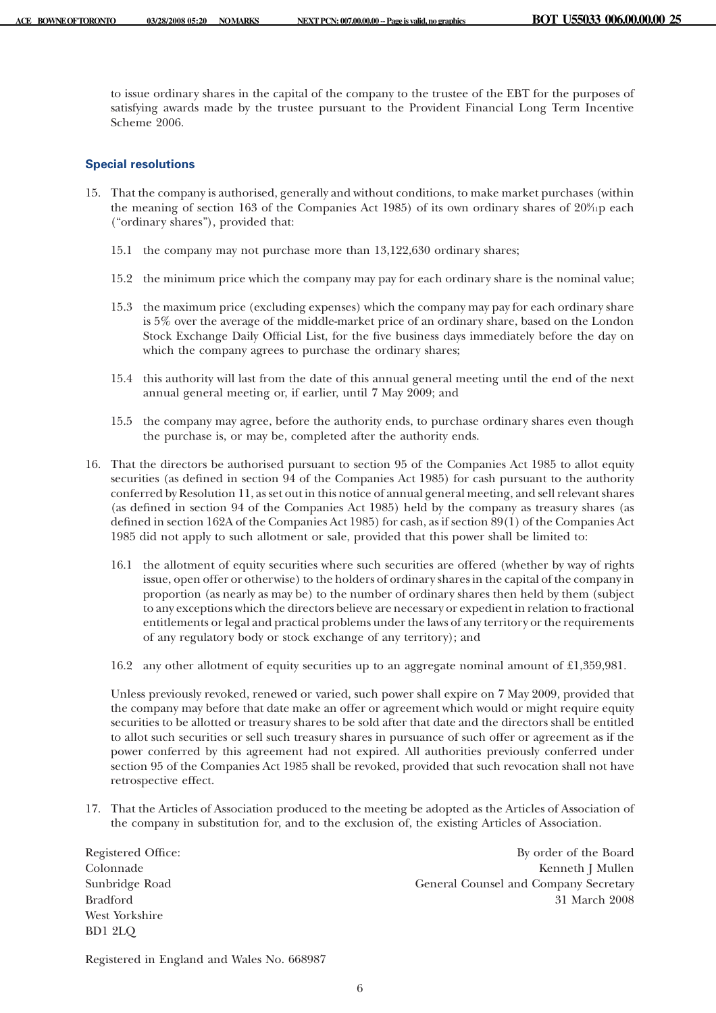to issue ordinary shares in the capital of the company to the trustee of the EBT for the purposes of satisfying awards made by the trustee pursuant to the Provident Financial Long Term Incentive Scheme 2006.

# **Special resolutions**

- 15. That the company is authorised, generally and without conditions, to make market purchases (within the meaning of section 163 of the Companies Act 1985) of its own ordinary shares of 20<sup>%</sup>ip each ("ordinary shares"), provided that:
	- 15.1 the company may not purchase more than 13,122,630 ordinary shares;
	- 15.2 the minimum price which the company may pay for each ordinary share is the nominal value;
	- 15.3 the maximum price (excluding expenses) which the company may pay for each ordinary share is 5% over the average of the middle-market price of an ordinary share, based on the London Stock Exchange Daily Official List, for the five business days immediately before the day on which the company agrees to purchase the ordinary shares;
	- 15.4 this authority will last from the date of this annual general meeting until the end of the next annual general meeting or, if earlier, until 7 May 2009; and
	- 15.5 the company may agree, before the authority ends, to purchase ordinary shares even though the purchase is, or may be, completed after the authority ends.
- 16. That the directors be authorised pursuant to section 95 of the Companies Act 1985 to allot equity securities (as defined in section 94 of the Companies Act 1985) for cash pursuant to the authority conferred by Resolution 11, as set out in this notice of annual general meeting, and sell relevant shares (as defined in section 94 of the Companies Act 1985) held by the company as treasury shares (as defined in section 162A of the Companies Act 1985) for cash, as if section 89(1) of the Companies Act 1985 did not apply to such allotment or sale, provided that this power shall be limited to:
	- 16.1 the allotment of equity securities where such securities are offered (whether by way of rights issue, open offer or otherwise) to the holders of ordinary shares in the capital of the company in proportion (as nearly as may be) to the number of ordinary shares then held by them (subject to any exceptions which the directors believe are necessary or expedient in relation to fractional entitlements or legal and practical problems under the laws of any territory or the requirements of any regulatory body or stock exchange of any territory); and
	- 16.2 any other allotment of equity securities up to an aggregate nominal amount of £1,359,981.

Unless previously revoked, renewed or varied, such power shall expire on 7 May 2009, provided that the company may before that date make an offer or agreement which would or might require equity securities to be allotted or treasury shares to be sold after that date and the directors shall be entitled to allot such securities or sell such treasury shares in pursuance of such offer or agreement as if the power conferred by this agreement had not expired. All authorities previously conferred under section 95 of the Companies Act 1985 shall be revoked, provided that such revocation shall not have retrospective effect.

17. That the Articles of Association produced to the meeting be adopted as the Articles of Association of the company in substitution for, and to the exclusion of, the existing Articles of Association.

West Yorkshire BD1 2LQ

Registered Office: By order of the Board Colonnade Kenneth J Mullen Sunbridge Road General Counsel and Company Secretary Bradford 31 March 2008

Registered in England and Wales No. 668987

6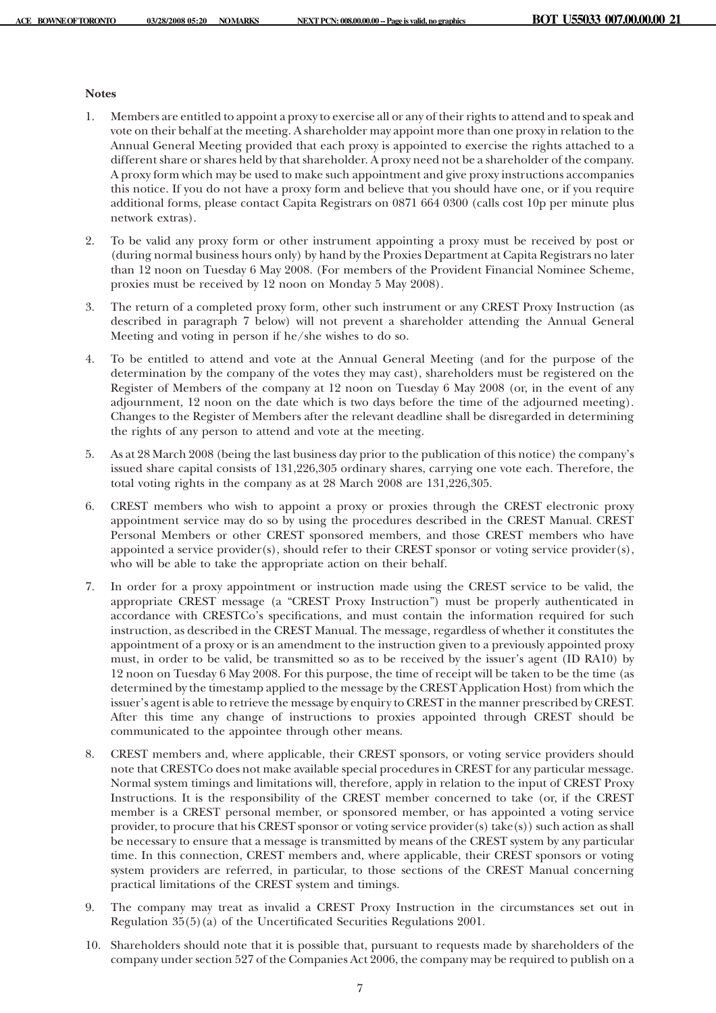## **Notes**

- 1. Members are entitled to appoint a proxy to exercise all or any of their rights to attend and to speak and vote on their behalf at the meeting. A shareholder may appoint more than one proxy in relation to the Annual General Meeting provided that each proxy is appointed to exercise the rights attached to a different share or shares held by that shareholder. A proxy need not be a shareholder of the company. A proxy form which may be used to make such appointment and give proxy instructions accompanies this notice. If you do not have a proxy form and believe that you should have one, or if you require additional forms, please contact Capita Registrars on 0871 664 0300 (calls cost 10p per minute plus network extras).
- 2. To be valid any proxy form or other instrument appointing a proxy must be received by post or (during normal business hours only) by hand by the Proxies Department at Capita Registrars no later than 12 noon on Tuesday 6 May 2008. (For members of the Provident Financial Nominee Scheme, proxies must be received by 12 noon on Monday 5 May 2008).
- 3. The return of a completed proxy form, other such instrument or any CREST Proxy Instruction (as described in paragraph 7 below) will not prevent a shareholder attending the Annual General Meeting and voting in person if he/she wishes to do so.
- 4. To be entitled to attend and vote at the Annual General Meeting (and for the purpose of the determination by the company of the votes they may cast), shareholders must be registered on the Register of Members of the company at 12 noon on Tuesday 6 May 2008 (or, in the event of any adjournment, 12 noon on the date which is two days before the time of the adjourned meeting). Changes to the Register of Members after the relevant deadline shall be disregarded in determining the rights of any person to attend and vote at the meeting.
- 5. As at 28 March 2008 (being the last business day prior to the publication of this notice) the company's issued share capital consists of 131,226,305 ordinary shares, carrying one vote each. Therefore, the total voting rights in the company as at 28 March 2008 are 131,226,305.
- 6. CREST members who wish to appoint a proxy or proxies through the CREST electronic proxy appointment service may do so by using the procedures described in the CREST Manual. CREST Personal Members or other CREST sponsored members, and those CREST members who have appointed a service provider(s), should refer to their CREST sponsor or voting service provider(s), who will be able to take the appropriate action on their behalf.
- 7. In order for a proxy appointment or instruction made using the CREST service to be valid, the appropriate CREST message (a "CREST Proxy Instruction") must be properly authenticated in accordance with CRESTCo's specifications, and must contain the information required for such instruction, as described in the CREST Manual. The message, regardless of whether it constitutes the appointment of a proxy or is an amendment to the instruction given to a previously appointed proxy must, in order to be valid, be transmitted so as to be received by the issuer's agent (ID RA10) by 12 noon on Tuesday 6 May 2008. For this purpose, the time of receipt will be taken to be the time (as determined by the timestamp applied to the message by the CREST Application Host) from which the issuer's agent is able to retrieve the message by enquiry to CREST in the manner prescribed by CREST. After this time any change of instructions to proxies appointed through CREST should be communicated to the appointee through other means.
- 8. CREST members and, where applicable, their CREST sponsors, or voting service providers should note that CRESTCo does not make available special procedures in CREST for any particular message. Normal system timings and limitations will, therefore, apply in relation to the input of CREST Proxy Instructions. It is the responsibility of the CREST member concerned to take (or, if the CREST member is a CREST personal member, or sponsored member, or has appointed a voting service provider, to procure that his CREST sponsor or voting service provider(s) take(s)) such action as shall be necessary to ensure that a message is transmitted by means of the CREST system by any particular time. In this connection, CREST members and, where applicable, their CREST sponsors or voting system providers are referred, in particular, to those sections of the CREST Manual concerning practical limitations of the CREST system and timings.
- 9. The company may treat as invalid a CREST Proxy Instruction in the circumstances set out in Regulation 35(5)(a) of the Uncertificated Securities Regulations 2001.
- 10. Shareholders should note that it is possible that, pursuant to requests made by shareholders of the company under section 527 of the Companies Act 2006, the company may be required to publish on a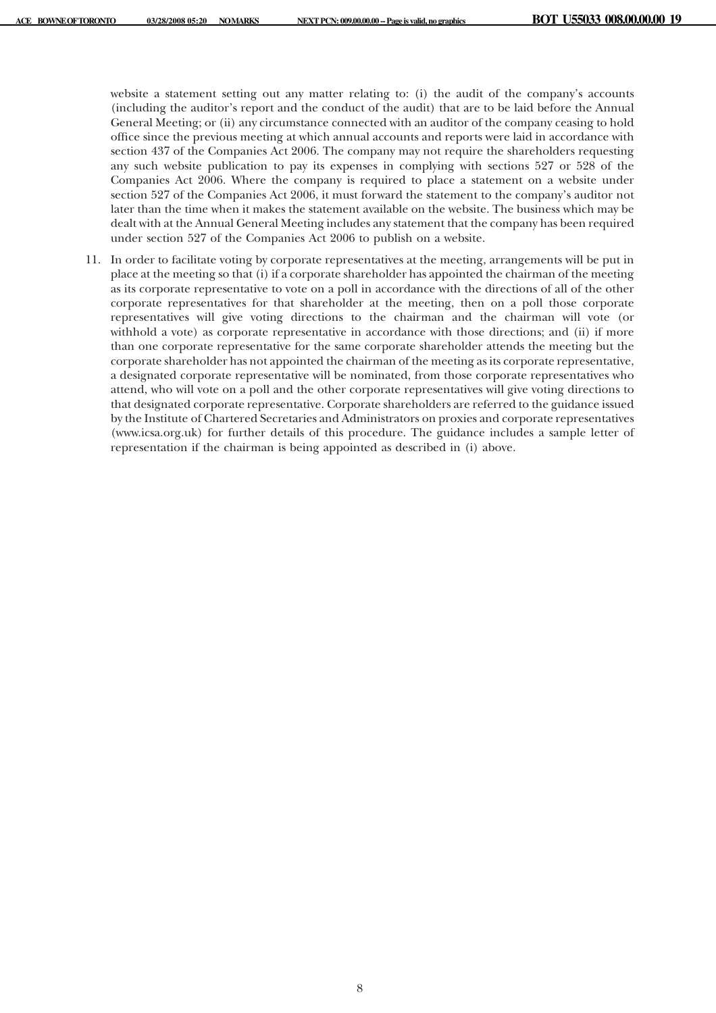website a statement setting out any matter relating to: (i) the audit of the company's accounts (including the auditor's report and the conduct of the audit) that are to be laid before the Annual General Meeting; or (ii) any circumstance connected with an auditor of the company ceasing to hold office since the previous meeting at which annual accounts and reports were laid in accordance with section 437 of the Companies Act 2006. The company may not require the shareholders requesting any such website publication to pay its expenses in complying with sections 527 or 528 of the Companies Act 2006. Where the company is required to place a statement on a website under section 527 of the Companies Act 2006, it must forward the statement to the company's auditor not later than the time when it makes the statement available on the website. The business which may be dealt with at the Annual General Meeting includes any statement that the company has been required under section 527 of the Companies Act 2006 to publish on a website.

11. In order to facilitate voting by corporate representatives at the meeting, arrangements will be put in place at the meeting so that (i) if a corporate shareholder has appointed the chairman of the meeting as its corporate representative to vote on a poll in accordance with the directions of all of the other corporate representatives for that shareholder at the meeting, then on a poll those corporate representatives will give voting directions to the chairman and the chairman will vote (or withhold a vote) as corporate representative in accordance with those directions; and (ii) if more than one corporate representative for the same corporate shareholder attends the meeting but the corporate shareholder has not appointed the chairman of the meeting as its corporate representative, a designated corporate representative will be nominated, from those corporate representatives who attend, who will vote on a poll and the other corporate representatives will give voting directions to that designated corporate representative. Corporate shareholders are referred to the guidance issued by the Institute of Chartered Secretaries and Administrators on proxies and corporate representatives (www.icsa.org.uk) for further details of this procedure. The guidance includes a sample letter of representation if the chairman is being appointed as described in (i) above.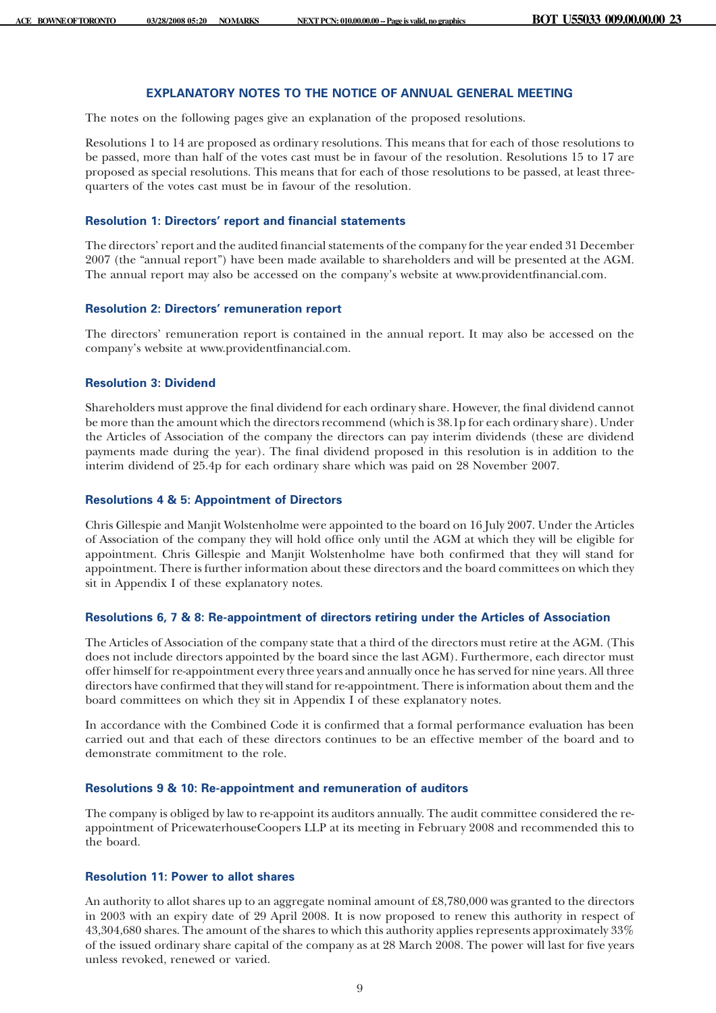# **EXPLANATORY NOTES TO THE NOTICE OF ANNUAL GENERAL MEETING**

The notes on the following pages give an explanation of the proposed resolutions.

Resolutions 1 to 14 are proposed as ordinary resolutions. This means that for each of those resolutions to be passed, more than half of the votes cast must be in favour of the resolution. Resolutions 15 to 17 are proposed as special resolutions. This means that for each of those resolutions to be passed, at least threequarters of the votes cast must be in favour of the resolution.

## **Resolution 1: Directors' report and financial statements**

The directors' report and the audited financial statements of the company for the year ended 31 December 2007 (the "annual report") have been made available to shareholders and will be presented at the AGM. The annual report may also be accessed on the company's website at www.providentfinancial.com.

# **Resolution 2: Directors' remuneration report**

The directors' remuneration report is contained in the annual report. It may also be accessed on the company's website at www.providentfinancial.com.

## **Resolution 3: Dividend**

Shareholders must approve the final dividend for each ordinary share. However, the final dividend cannot be more than the amount which the directors recommend (which is 38.1p for each ordinary share). Under the Articles of Association of the company the directors can pay interim dividends (these are dividend payments made during the year). The final dividend proposed in this resolution is in addition to the interim dividend of 25.4p for each ordinary share which was paid on 28 November 2007.

## **Resolutions 4 & 5: Appointment of Directors**

Chris Gillespie and Manjit Wolstenholme were appointed to the board on 16 July 2007. Under the Articles of Association of the company they will hold office only until the AGM at which they will be eligible for appointment. Chris Gillespie and Manjit Wolstenholme have both confirmed that they will stand for appointment. There is further information about these directors and the board committees on which they sit in Appendix I of these explanatory notes.

#### **Resolutions 6, 7 & 8: Re-appointment of directors retiring under the Articles of Association**

The Articles of Association of the company state that a third of the directors must retire at the AGM. (This does not include directors appointed by the board since the last AGM). Furthermore, each director must offer himself for re-appointment every three years and annually once he has served for nine years. All three directors have confirmed that they will stand for re-appointment. There is information about them and the board committees on which they sit in Appendix I of these explanatory notes.

In accordance with the Combined Code it is confirmed that a formal performance evaluation has been carried out and that each of these directors continues to be an effective member of the board and to demonstrate commitment to the role.

#### **Resolutions 9 & 10: Re-appointment and remuneration of auditors**

The company is obliged by law to re-appoint its auditors annually. The audit committee considered the reappointment of PricewaterhouseCoopers LLP at its meeting in February 2008 and recommended this to the board.

## **Resolution 11: Power to allot shares**

An authority to allot shares up to an aggregate nominal amount of £8,780,000 was granted to the directors in 2003 with an expiry date of 29 April 2008. It is now proposed to renew this authority in respect of 43,304,680 shares. The amount of the shares to which this authority applies represents approximately 33% of the issued ordinary share capital of the company as at 28 March 2008. The power will last for five years unless revoked, renewed or varied.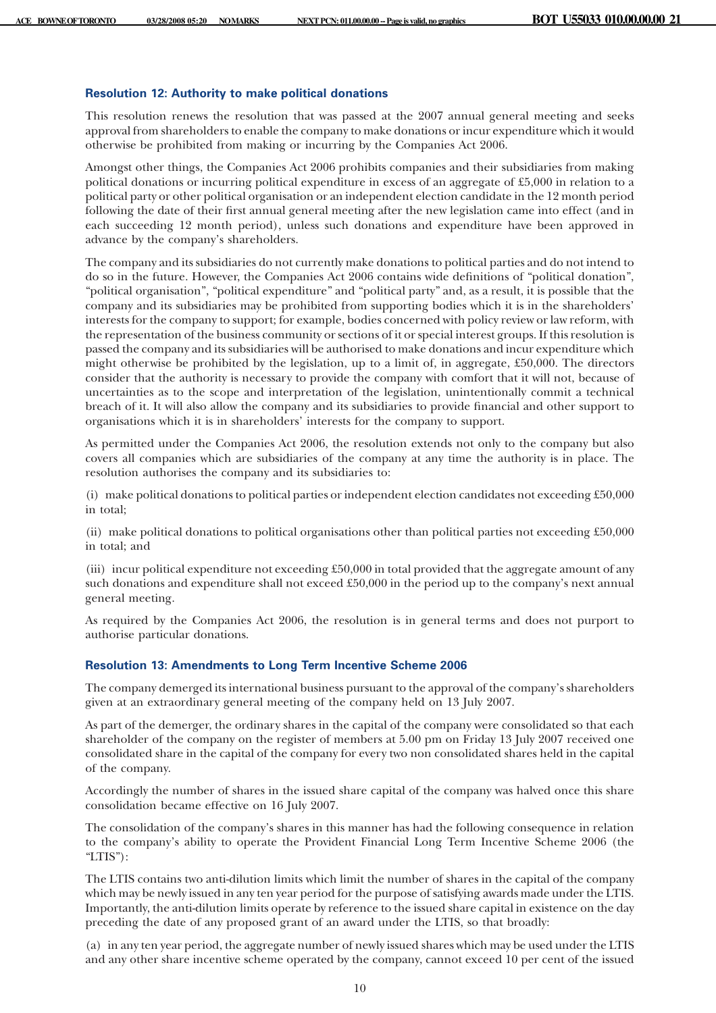#### **Resolution 12: Authority to make political donations**

This resolution renews the resolution that was passed at the 2007 annual general meeting and seeks approval from shareholders to enable the company to make donations or incur expenditure which it would otherwise be prohibited from making or incurring by the Companies Act 2006.

Amongst other things, the Companies Act 2006 prohibits companies and their subsidiaries from making political donations or incurring political expenditure in excess of an aggregate of £5,000 in relation to a political party or other political organisation or an independent election candidate in the 12 month period following the date of their first annual general meeting after the new legislation came into effect (and in each succeeding 12 month period), unless such donations and expenditure have been approved in advance by the company's shareholders.

The company and its subsidiaries do not currently make donations to political parties and do not intend to do so in the future. However, the Companies Act 2006 contains wide definitions of "political donation", "political organisation", "political expenditure" and "political party" and, as a result, it is possible that the company and its subsidiaries may be prohibited from supporting bodies which it is in the shareholders' interests for the company to support; for example, bodies concerned with policy review or law reform, with the representation of the business community or sections of it or special interest groups. If this resolution is passed the company and its subsidiaries will be authorised to make donations and incur expenditure which might otherwise be prohibited by the legislation, up to a limit of, in aggregate, £50,000. The directors consider that the authority is necessary to provide the company with comfort that it will not, because of uncertainties as to the scope and interpretation of the legislation, unintentionally commit a technical breach of it. It will also allow the company and its subsidiaries to provide financial and other support to organisations which it is in shareholders' interests for the company to support.

As permitted under the Companies Act 2006, the resolution extends not only to the company but also covers all companies which are subsidiaries of the company at any time the authority is in place. The resolution authorises the company and its subsidiaries to:

(i) make political donations to political parties or independent election candidates not exceeding £50,000 in total;

(ii) make political donations to political organisations other than political parties not exceeding £50,000 in total; and

(iii) incur political expenditure not exceeding £50,000 in total provided that the aggregate amount of any such donations and expenditure shall not exceed £50,000 in the period up to the company's next annual general meeting.

As required by the Companies Act 2006, the resolution is in general terms and does not purport to authorise particular donations.

# **Resolution 13: Amendments to Long Term Incentive Scheme 2006**

The company demerged its international business pursuant to the approval of the company's shareholders given at an extraordinary general meeting of the company held on 13 July 2007.

As part of the demerger, the ordinary shares in the capital of the company were consolidated so that each shareholder of the company on the register of members at 5.00 pm on Friday 13 July 2007 received one consolidated share in the capital of the company for every two non consolidated shares held in the capital of the company.

Accordingly the number of shares in the issued share capital of the company was halved once this share consolidation became effective on 16 July 2007.

The consolidation of the company's shares in this manner has had the following consequence in relation to the company's ability to operate the Provident Financial Long Term Incentive Scheme 2006 (the "LTIS"):

The LTIS contains two anti-dilution limits which limit the number of shares in the capital of the company which may be newly issued in any ten year period for the purpose of satisfying awards made under the LTIS. Importantly, the anti-dilution limits operate by reference to the issued share capital in existence on the day preceding the date of any proposed grant of an award under the LTIS, so that broadly:

(a) in any ten year period, the aggregate number of newly issued shares which may be used under the LTIS and any other share incentive scheme operated by the company, cannot exceed 10 per cent of the issued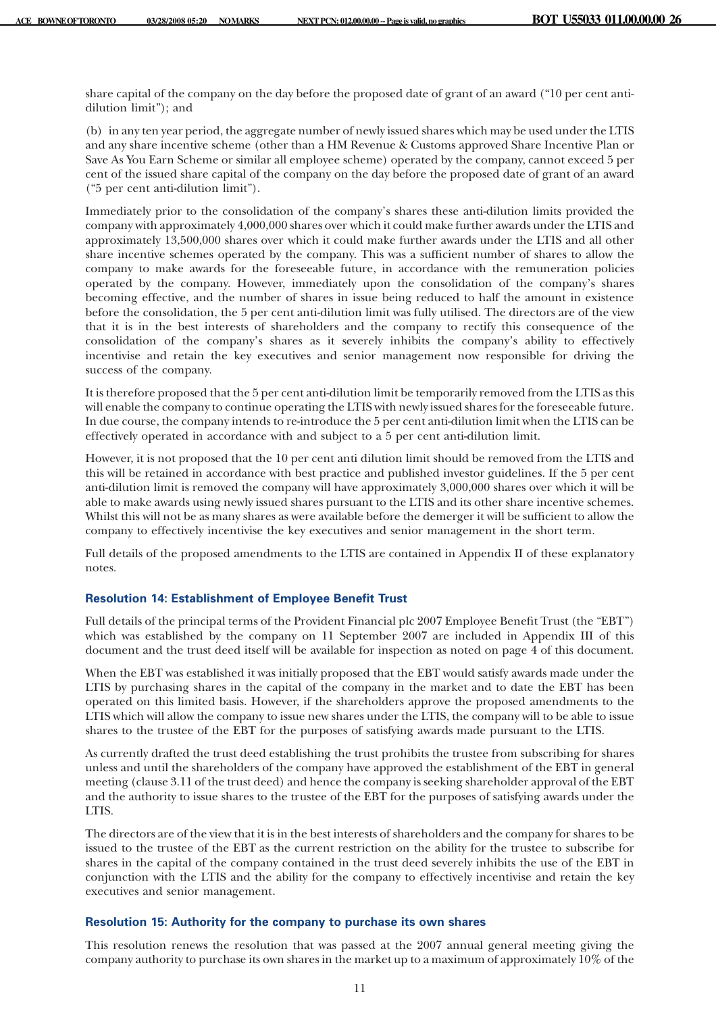share capital of the company on the day before the proposed date of grant of an award ("10 per cent antidilution limit"); and

(b) in any ten year period, the aggregate number of newly issued shares which may be used under the LTIS and any share incentive scheme (other than a HM Revenue & Customs approved Share Incentive Plan or Save As You Earn Scheme or similar all employee scheme) operated by the company, cannot exceed 5 per cent of the issued share capital of the company on the day before the proposed date of grant of an award ("5 per cent anti-dilution limit").

Immediately prior to the consolidation of the company's shares these anti-dilution limits provided the company with approximately 4,000,000 shares over which it could make further awards under the LTIS and approximately 13,500,000 shares over which it could make further awards under the LTIS and all other share incentive schemes operated by the company. This was a sufficient number of shares to allow the company to make awards for the foreseeable future, in accordance with the remuneration policies operated by the company. However, immediately upon the consolidation of the company's shares becoming effective, and the number of shares in issue being reduced to half the amount in existence before the consolidation, the 5 per cent anti-dilution limit was fully utilised. The directors are of the view that it is in the best interests of shareholders and the company to rectify this consequence of the consolidation of the company's shares as it severely inhibits the company's ability to effectively incentivise and retain the key executives and senior management now responsible for driving the success of the company.

It is therefore proposed that the 5 per cent anti-dilution limit be temporarily removed from the LTIS as this will enable the company to continue operating the LTIS with newly issued shares for the foreseeable future. In due course, the company intends to re-introduce the 5 per cent anti-dilution limit when the LTIS can be effectively operated in accordance with and subject to a 5 per cent anti-dilution limit.

However, it is not proposed that the 10 per cent anti dilution limit should be removed from the LTIS and this will be retained in accordance with best practice and published investor guidelines. If the 5 per cent anti-dilution limit is removed the company will have approximately 3,000,000 shares over which it will be able to make awards using newly issued shares pursuant to the LTIS and its other share incentive schemes. Whilst this will not be as many shares as were available before the demerger it will be sufficient to allow the company to effectively incentivise the key executives and senior management in the short term.

Full details of the proposed amendments to the LTIS are contained in Appendix II of these explanatory notes.

# **Resolution 14: Establishment of Employee Benefit Trust**

Full details of the principal terms of the Provident Financial plc 2007 Employee Benefit Trust (the "EBT") which was established by the company on 11 September 2007 are included in Appendix III of this document and the trust deed itself will be available for inspection as noted on page 4 of this document.

When the EBT was established it was initially proposed that the EBT would satisfy awards made under the LTIS by purchasing shares in the capital of the company in the market and to date the EBT has been operated on this limited basis. However, if the shareholders approve the proposed amendments to the LTIS which will allow the company to issue new shares under the LTIS, the company will to be able to issue shares to the trustee of the EBT for the purposes of satisfying awards made pursuant to the LTIS.

As currently drafted the trust deed establishing the trust prohibits the trustee from subscribing for shares unless and until the shareholders of the company have approved the establishment of the EBT in general meeting (clause 3.11 of the trust deed) and hence the company is seeking shareholder approval of the EBT and the authority to issue shares to the trustee of the EBT for the purposes of satisfying awards under the LTIS.

The directors are of the view that it is in the best interests of shareholders and the company for shares to be issued to the trustee of the EBT as the current restriction on the ability for the trustee to subscribe for shares in the capital of the company contained in the trust deed severely inhibits the use of the EBT in conjunction with the LTIS and the ability for the company to effectively incentivise and retain the key executives and senior management.

# **Resolution 15: Authority for the company to purchase its own shares**

This resolution renews the resolution that was passed at the 2007 annual general meeting giving the company authority to purchase its own shares in the market up to a maximum of approximately 10% of the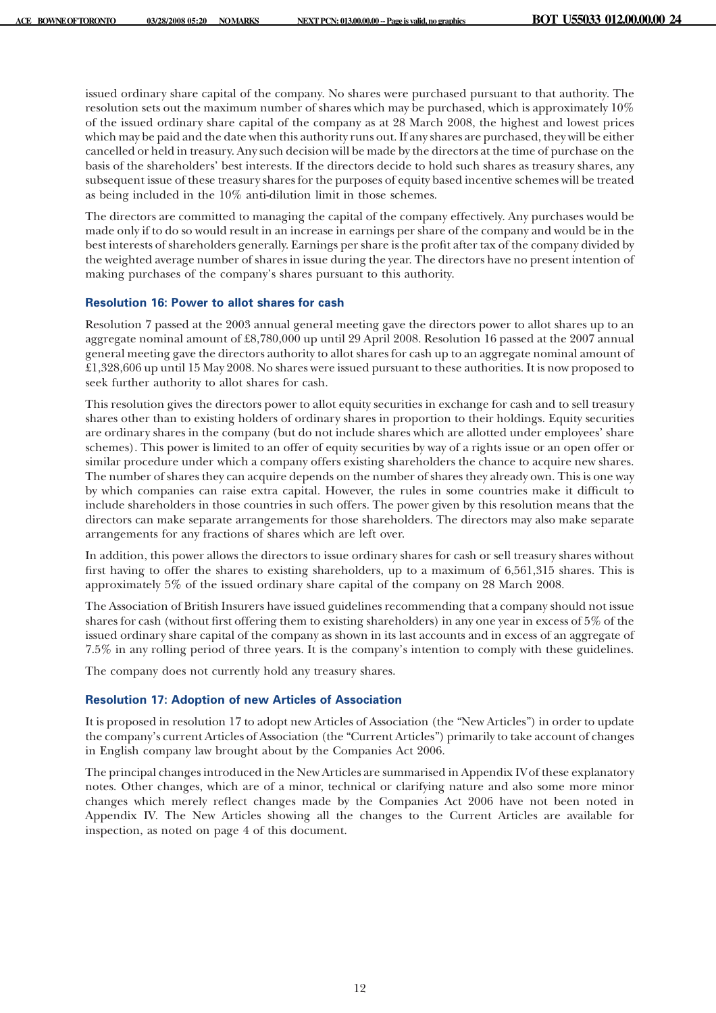issued ordinary share capital of the company. No shares were purchased pursuant to that authority. The resolution sets out the maximum number of shares which may be purchased, which is approximately 10% of the issued ordinary share capital of the company as at 28 March 2008, the highest and lowest prices which may be paid and the date when this authority runs out. If any shares are purchased, they will be either cancelled or held in treasury. Any such decision will be made by the directors at the time of purchase on the basis of the shareholders' best interests. If the directors decide to hold such shares as treasury shares, any subsequent issue of these treasury shares for the purposes of equity based incentive schemes will be treated as being included in the 10% anti-dilution limit in those schemes.

The directors are committed to managing the capital of the company effectively. Any purchases would be made only if to do so would result in an increase in earnings per share of the company and would be in the best interests of shareholders generally. Earnings per share is the profit after tax of the company divided by the weighted average number of shares in issue during the year. The directors have no present intention of making purchases of the company's shares pursuant to this authority.

## **Resolution 16: Power to allot shares for cash**

Resolution 7 passed at the 2003 annual general meeting gave the directors power to allot shares up to an aggregate nominal amount of £8,780,000 up until 29 April 2008. Resolution 16 passed at the 2007 annual general meeting gave the directors authority to allot shares for cash up to an aggregate nominal amount of £1,328,606 up until 15 May 2008. No shares were issued pursuant to these authorities. It is now proposed to seek further authority to allot shares for cash.

This resolution gives the directors power to allot equity securities in exchange for cash and to sell treasury shares other than to existing holders of ordinary shares in proportion to their holdings. Equity securities are ordinary shares in the company (but do not include shares which are allotted under employees' share schemes). This power is limited to an offer of equity securities by way of a rights issue or an open offer or similar procedure under which a company offers existing shareholders the chance to acquire new shares. The number of shares they can acquire depends on the number of shares they already own. This is one way by which companies can raise extra capital. However, the rules in some countries make it difficult to include shareholders in those countries in such offers. The power given by this resolution means that the directors can make separate arrangements for those shareholders. The directors may also make separate arrangements for any fractions of shares which are left over.

In addition, this power allows the directors to issue ordinary shares for cash or sell treasury shares without first having to offer the shares to existing shareholders, up to a maximum of 6,561,315 shares. This is approximately 5% of the issued ordinary share capital of the company on 28 March 2008.

The Association of British Insurers have issued guidelines recommending that a company should not issue shares for cash (without first offering them to existing shareholders) in any one year in excess of 5% of the issued ordinary share capital of the company as shown in its last accounts and in excess of an aggregate of 7.5% in any rolling period of three years. It is the company's intention to comply with these guidelines.

The company does not currently hold any treasury shares.

## **Resolution 17: Adoption of new Articles of Association**

It is proposed in resolution 17 to adopt new Articles of Association (the "New Articles") in order to update the company's current Articles of Association (the "Current Articles") primarily to take account of changes in English company law brought about by the Companies Act 2006.

The principal changes introduced in the New Articles are summarised in Appendix IVof these explanatory notes. Other changes, which are of a minor, technical or clarifying nature and also some more minor changes which merely reflect changes made by the Companies Act 2006 have not been noted in Appendix IV. The New Articles showing all the changes to the Current Articles are available for inspection, as noted on page 4 of this document.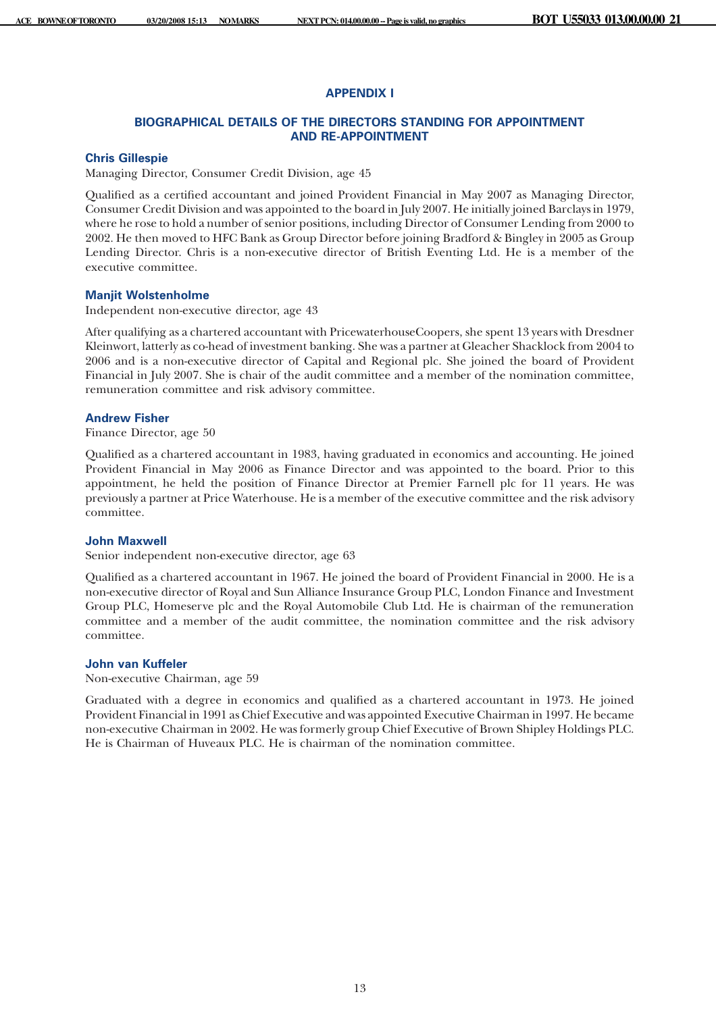# **APPENDIX I**

# **BIOGRAPHICAL DETAILS OF THE DIRECTORS STANDING FOR APPOINTMENT AND RE-APPOINTMENT**

# **Chris Gillespie**

Managing Director, Consumer Credit Division, age 45

Qualified as a certified accountant and joined Provident Financial in May 2007 as Managing Director, Consumer Credit Division and was appointed to the board in July 2007. He initially joined Barclays in 1979, where he rose to hold a number of senior positions, including Director of Consumer Lending from 2000 to 2002. He then moved to HFC Bank as Group Director before joining Bradford & Bingley in 2005 as Group Lending Director. Chris is a non-executive director of British Eventing Ltd. He is a member of the executive committee.

# **Manjit Wolstenholme**

Independent non-executive director, age 43

After qualifying as a chartered accountant with PricewaterhouseCoopers, she spent 13 years with Dresdner Kleinwort, latterly as co-head of investment banking. She was a partner at Gleacher Shacklock from 2004 to 2006 and is a non-executive director of Capital and Regional plc. She joined the board of Provident Financial in July 2007. She is chair of the audit committee and a member of the nomination committee, remuneration committee and risk advisory committee.

## **Andrew Fisher**

Finance Director, age 50

Qualified as a chartered accountant in 1983, having graduated in economics and accounting. He joined Provident Financial in May 2006 as Finance Director and was appointed to the board. Prior to this appointment, he held the position of Finance Director at Premier Farnell plc for 11 years. He was previously a partner at Price Waterhouse. He is a member of the executive committee and the risk advisory committee.

# **John Maxwell**

Senior independent non-executive director, age 63

Qualified as a chartered accountant in 1967. He joined the board of Provident Financial in 2000. He is a non-executive director of Royal and Sun Alliance Insurance Group PLC, London Finance and Investment Group PLC, Homeserve plc and the Royal Automobile Club Ltd. He is chairman of the remuneration committee and a member of the audit committee, the nomination committee and the risk advisory committee.

## **John van Kuffeler**

Non-executive Chairman, age 59

Graduated with a degree in economics and qualified as a chartered accountant in 1973. He joined Provident Financial in 1991 as Chief Executive and was appointed Executive Chairman in 1997. He became non-executive Chairman in 2002. He was formerly group Chief Executive of Brown Shipley Holdings PLC. He is Chairman of Huveaux PLC. He is chairman of the nomination committee.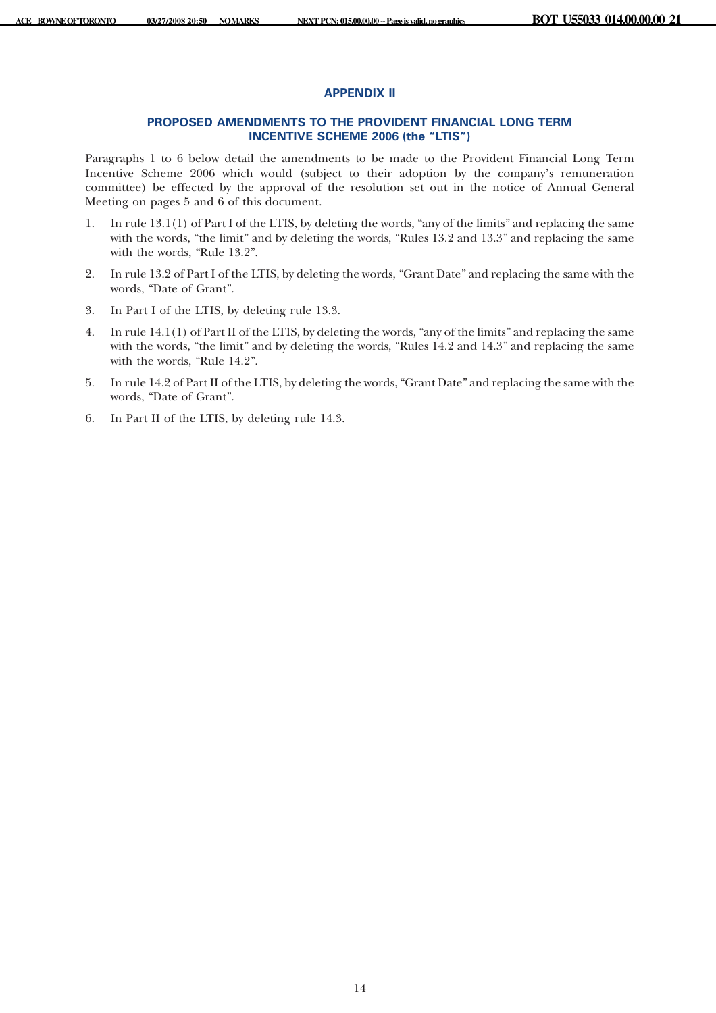# **APPENDIX II**

# **PROPOSED AMENDMENTS TO THE PROVIDENT FINANCIAL LONG TERM INCENTIVE SCHEME 2006 (the "LTIS")**

Paragraphs 1 to 6 below detail the amendments to be made to the Provident Financial Long Term Incentive Scheme 2006 which would (subject to their adoption by the company's remuneration committee) be effected by the approval of the resolution set out in the notice of Annual General Meeting on pages 5 and 6 of this document.

- 1. In rule 13.1(1) of Part I of the LTIS, by deleting the words, "any of the limits" and replacing the same with the words, "the limit" and by deleting the words, "Rules 13.2 and 13.3" and replacing the same with the words, "Rule 13.2".
- 2. In rule 13.2 of Part I of the LTIS, by deleting the words, "Grant Date" and replacing the same with the words, "Date of Grant".
- 3. In Part I of the LTIS, by deleting rule 13.3.
- 4. In rule 14.1(1) of Part II of the LTIS, by deleting the words, "any of the limits" and replacing the same with the words, "the limit" and by deleting the words, "Rules 14.2 and 14.3" and replacing the same with the words, "Rule 14.2".
- 5. In rule 14.2 of Part II of the LTIS, by deleting the words, "Grant Date" and replacing the same with the words, "Date of Grant".
- 6. In Part II of the LTIS, by deleting rule 14.3.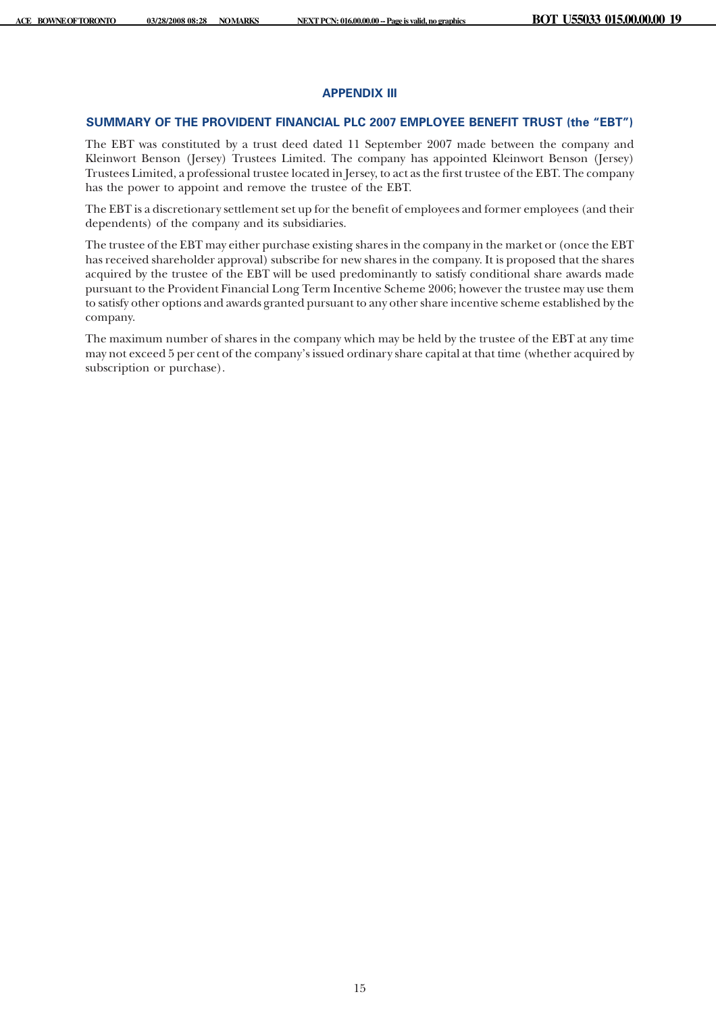## **APPENDIX III**

## **SUMMARY OF THE PROVIDENT FINANCIAL PLC 2007 EMPLOYEE BENEFIT TRUST (the "EBT")**

The EBT was constituted by a trust deed dated 11 September 2007 made between the company and Kleinwort Benson (Jersey) Trustees Limited. The company has appointed Kleinwort Benson (Jersey) Trustees Limited, a professional trustee located in Jersey, to act as the first trustee of the EBT. The company has the power to appoint and remove the trustee of the EBT.

The EBT is a discretionary settlement set up for the benefit of employees and former employees (and their dependents) of the company and its subsidiaries.

The trustee of the EBT may either purchase existing shares in the company in the market or (once the EBT has received shareholder approval) subscribe for new shares in the company. It is proposed that the shares acquired by the trustee of the EBT will be used predominantly to satisfy conditional share awards made pursuant to the Provident Financial Long Term Incentive Scheme 2006; however the trustee may use them to satisfy other options and awards granted pursuant to any other share incentive scheme established by the company.

The maximum number of shares in the company which may be held by the trustee of the EBT at any time may not exceed 5 per cent of the company's issued ordinary share capital at that time (whether acquired by subscription or purchase).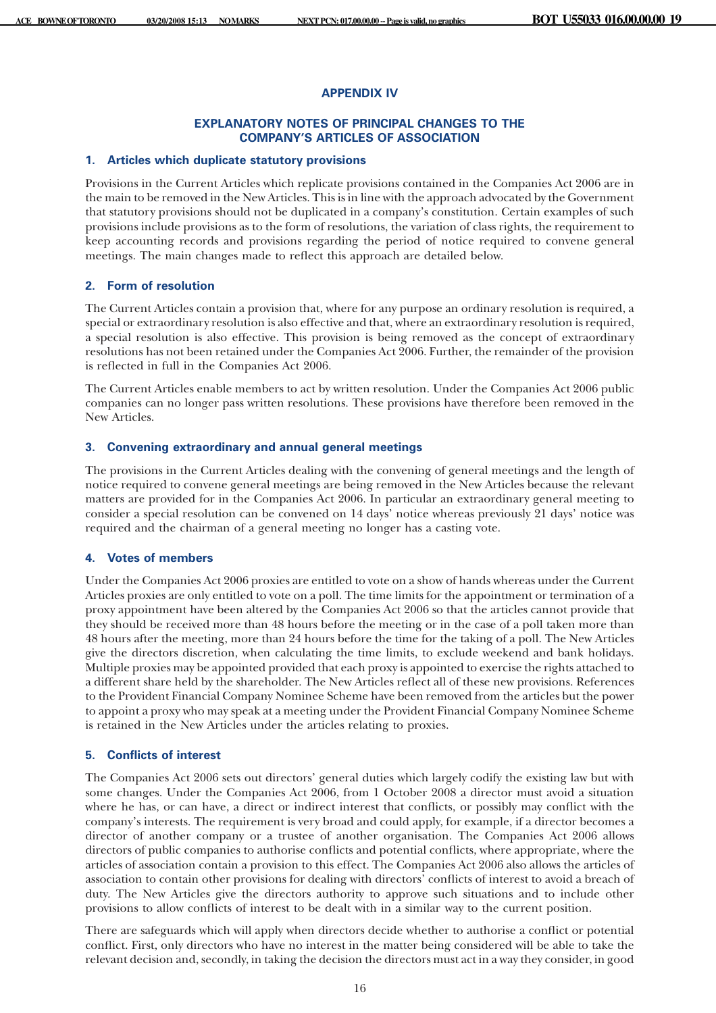# **APPENDIX IV**

# **EXPLANATORY NOTES OF PRINCIPAL CHANGES TO THE COMPANY'S ARTICLES OF ASSOCIATION**

#### **1. Articles which duplicate statutory provisions**

Provisions in the Current Articles which replicate provisions contained in the Companies Act 2006 are in the main to be removed in the New Articles. This is in line with the approach advocated by the Government that statutory provisions should not be duplicated in a company's constitution. Certain examples of such provisions include provisions as to the form of resolutions, the variation of class rights, the requirement to keep accounting records and provisions regarding the period of notice required to convene general meetings. The main changes made to reflect this approach are detailed below.

# **2. Form of resolution**

The Current Articles contain a provision that, where for any purpose an ordinary resolution is required, a special or extraordinary resolution is also effective and that, where an extraordinary resolution is required, a special resolution is also effective. This provision is being removed as the concept of extraordinary resolutions has not been retained under the Companies Act 2006. Further, the remainder of the provision is reflected in full in the Companies Act 2006.

The Current Articles enable members to act by written resolution. Under the Companies Act 2006 public companies can no longer pass written resolutions. These provisions have therefore been removed in the New Articles.

## **3. Convening extraordinary and annual general meetings**

The provisions in the Current Articles dealing with the convening of general meetings and the length of notice required to convene general meetings are being removed in the New Articles because the relevant matters are provided for in the Companies Act 2006. In particular an extraordinary general meeting to consider a special resolution can be convened on 14 days' notice whereas previously 21 days' notice was required and the chairman of a general meeting no longer has a casting vote.

# **4. Votes of members**

Under the Companies Act 2006 proxies are entitled to vote on a show of hands whereas under the Current Articles proxies are only entitled to vote on a poll. The time limits for the appointment or termination of a proxy appointment have been altered by the Companies Act 2006 so that the articles cannot provide that they should be received more than 48 hours before the meeting or in the case of a poll taken more than 48 hours after the meeting, more than 24 hours before the time for the taking of a poll. The New Articles give the directors discretion, when calculating the time limits, to exclude weekend and bank holidays. Multiple proxies may be appointed provided that each proxy is appointed to exercise the rights attached to a different share held by the shareholder. The New Articles reflect all of these new provisions. References to the Provident Financial Company Nominee Scheme have been removed from the articles but the power to appoint a proxy who may speak at a meeting under the Provident Financial Company Nominee Scheme is retained in the New Articles under the articles relating to proxies.

#### **5. Conflicts of interest**

The Companies Act 2006 sets out directors' general duties which largely codify the existing law but with some changes. Under the Companies Act 2006, from 1 October 2008 a director must avoid a situation where he has, or can have, a direct or indirect interest that conflicts, or possibly may conflict with the company's interests. The requirement is very broad and could apply, for example, if a director becomes a director of another company or a trustee of another organisation. The Companies Act 2006 allows directors of public companies to authorise conflicts and potential conflicts, where appropriate, where the articles of association contain a provision to this effect. The Companies Act 2006 also allows the articles of association to contain other provisions for dealing with directors' conflicts of interest to avoid a breach of duty. The New Articles give the directors authority to approve such situations and to include other provisions to allow conflicts of interest to be dealt with in a similar way to the current position.

There are safeguards which will apply when directors decide whether to authorise a conflict or potential conflict. First, only directors who have no interest in the matter being considered will be able to take the relevant decision and, secondly, in taking the decision the directors must act in a way they consider, in good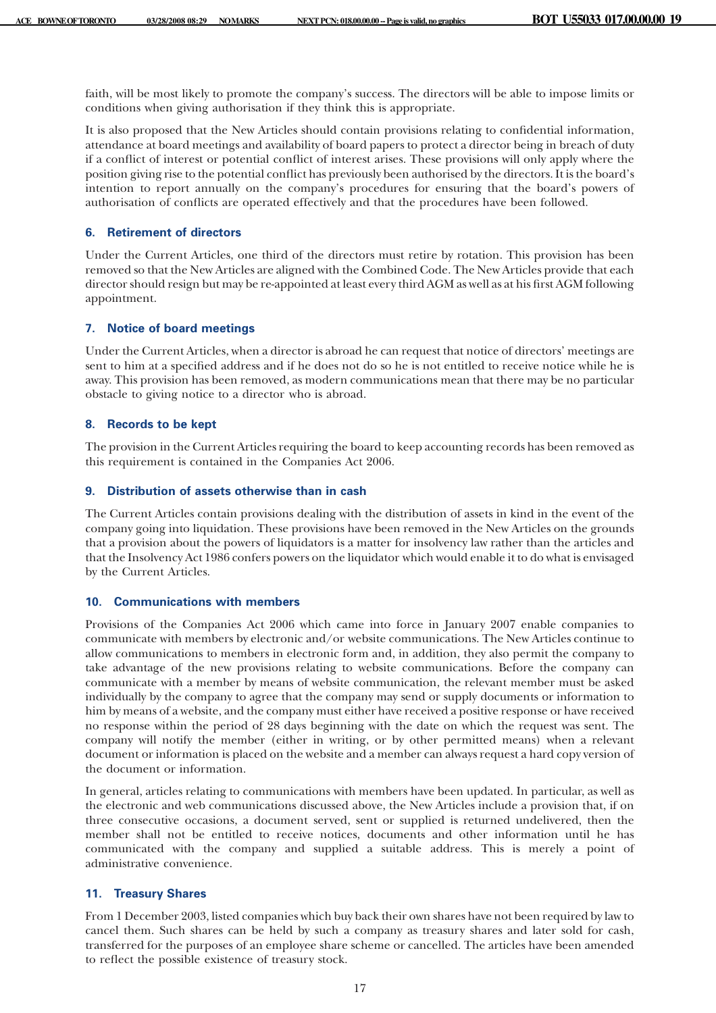faith, will be most likely to promote the company's success. The directors will be able to impose limits or conditions when giving authorisation if they think this is appropriate.

It is also proposed that the New Articles should contain provisions relating to confidential information, attendance at board meetings and availability of board papers to protect a director being in breach of duty if a conflict of interest or potential conflict of interest arises. These provisions will only apply where the position giving rise to the potential conflict has previously been authorised by the directors. It is the board's intention to report annually on the company's procedures for ensuring that the board's powers of authorisation of conflicts are operated effectively and that the procedures have been followed.

## **6. Retirement of directors**

Under the Current Articles, one third of the directors must retire by rotation. This provision has been removed so that the New Articles are aligned with the Combined Code. The New Articles provide that each director should resign but may be re-appointed at least every third AGM as well as at his first AGM following appointment.

# **7. Notice of board meetings**

Under the Current Articles, when a director is abroad he can request that notice of directors' meetings are sent to him at a specified address and if he does not do so he is not entitled to receive notice while he is away. This provision has been removed, as modern communications mean that there may be no particular obstacle to giving notice to a director who is abroad.

#### **8. Records to be kept**

The provision in the Current Articles requiring the board to keep accounting records has been removed as this requirement is contained in the Companies Act 2006.

#### **9. Distribution of assets otherwise than in cash**

The Current Articles contain provisions dealing with the distribution of assets in kind in the event of the company going into liquidation. These provisions have been removed in the New Articles on the grounds that a provision about the powers of liquidators is a matter for insolvency law rather than the articles and that the Insolvency Act 1986 confers powers on the liquidator which would enable it to do what is envisaged by the Current Articles.

# **10. Communications with members**

Provisions of the Companies Act 2006 which came into force in January 2007 enable companies to communicate with members by electronic and/or website communications. The New Articles continue to allow communications to members in electronic form and, in addition, they also permit the company to take advantage of the new provisions relating to website communications. Before the company can communicate with a member by means of website communication, the relevant member must be asked individually by the company to agree that the company may send or supply documents or information to him by means of a website, and the company must either have received a positive response or have received no response within the period of 28 days beginning with the date on which the request was sent. The company will notify the member (either in writing, or by other permitted means) when a relevant document or information is placed on the website and a member can always request a hard copy version of the document or information.

In general, articles relating to communications with members have been updated. In particular, as well as the electronic and web communications discussed above, the New Articles include a provision that, if on three consecutive occasions, a document served, sent or supplied is returned undelivered, then the member shall not be entitled to receive notices, documents and other information until he has communicated with the company and supplied a suitable address. This is merely a point of administrative convenience.

# **11. Treasury Shares**

From 1 December 2003, listed companies which buy back their own shares have not been required by law to cancel them. Such shares can be held by such a company as treasury shares and later sold for cash, transferred for the purposes of an employee share scheme or cancelled. The articles have been amended to reflect the possible existence of treasury stock.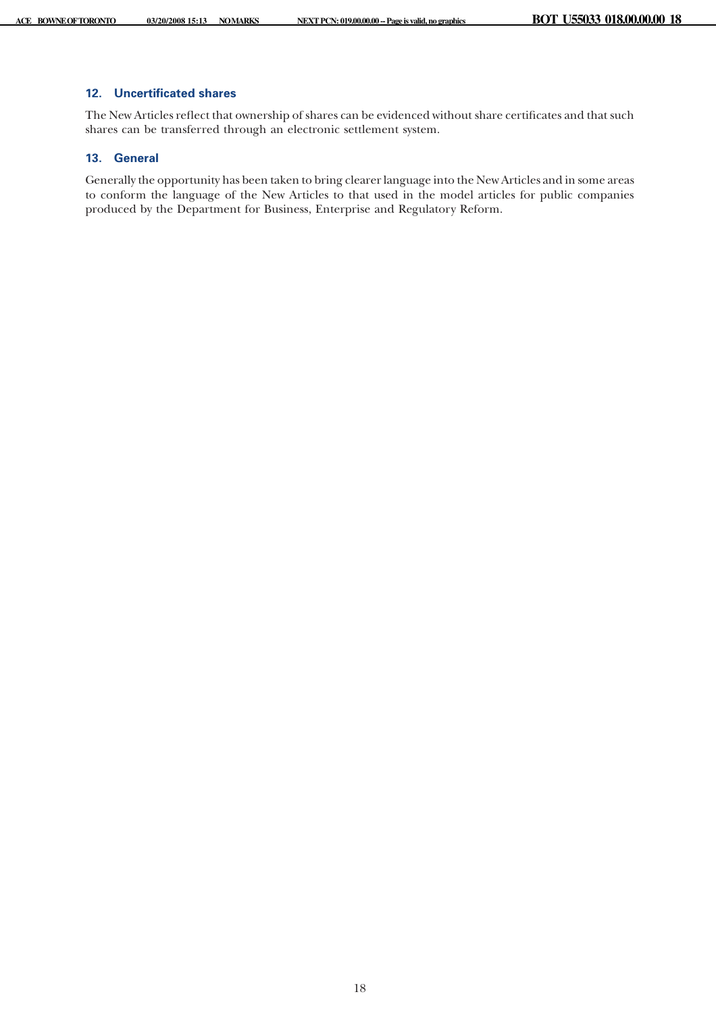# **12. Uncertificated shares**

The New Articles reflect that ownership of shares can be evidenced without share certificates and that such shares can be transferred through an electronic settlement system.

## **13. General**

Generally the opportunity has been taken to bring clearer language into the New Articles and in some areas to conform the language of the New Articles to that used in the model articles for public companies produced by the Department for Business, Enterprise and Regulatory Reform.